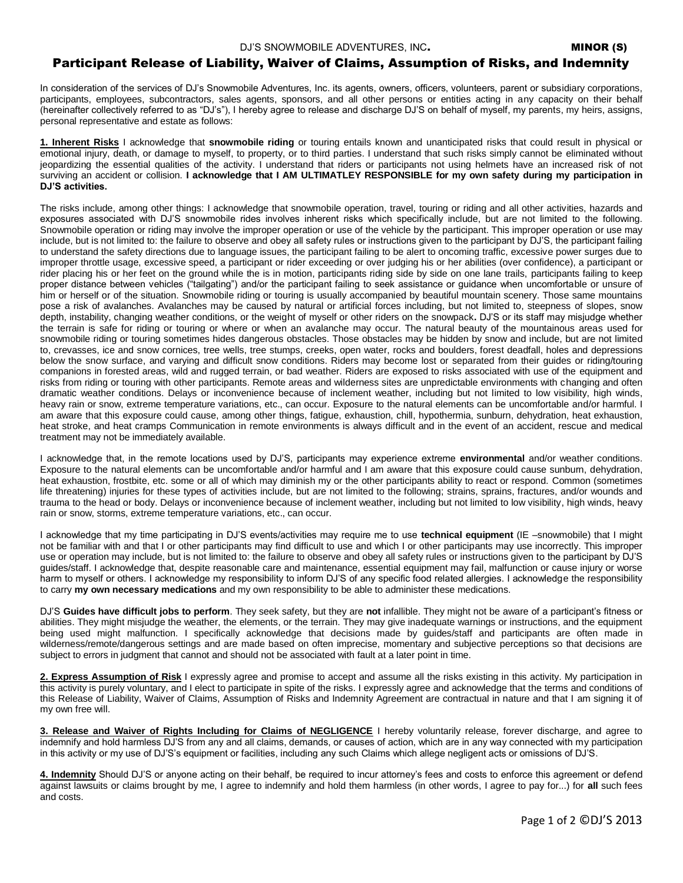## Participant Release of Liability, Waiver of Claims, Assumption of Risks, and Indemnity

In consideration of the services of DJ's Snowmobile Adventures, Inc. its agents, owners, officers, volunteers, parent or subsidiary corporations, participants, employees, subcontractors, sales agents, sponsors, and all other persons or entities acting in any capacity on their behalf (hereinafter collectively referred to as "DJ's"), I hereby agree to release and discharge DJ'S on behalf of myself, my parents, my heirs, assigns, personal representative and estate as follows:

**1. Inherent Risks** I acknowledge that **snowmobile riding** or touring entails known and unanticipated risks that could result in physical or emotional injury, death, or damage to myself, to property, or to third parties. I understand that such risks simply cannot be eliminated without jeopardizing the essential qualities of the activity. I understand that riders or participants not using helmets have an increased risk of not surviving an accident or collision. **I acknowledge that I AM ULTIMATLEY RESPONSIBLE for my own safety during my participation in DJ'S activities.** 

The risks include, among other things: I acknowledge that snowmobile operation, travel, touring or riding and all other activities, hazards and exposures associated with DJ'S snowmobile rides involves inherent risks which specifically include, but are not limited to the following. Snowmobile operation or riding may involve the improper operation or use of the vehicle by the participant. This improper operation or use may include, but is not limited to: the failure to observe and obey all safety rules or instructions given to the participant by DJ'S, the participant failing to understand the safety directions due to language issues, the participant failing to be alert to oncoming traffic, excessive power surges due to improper throttle usage, excessive speed, a participant or rider exceeding or over judging his or her abilities (over confidence), a participant or rider placing his or her feet on the ground while the is in motion, participants riding side by side on one lane trails, participants failing to keep proper distance between vehicles ("tailgating") and/or the participant failing to seek assistance or guidance when uncomfortable or unsure of him or herself or of the situation. Snowmobile riding or touring is usually accompanied by beautiful mountain scenery. Those same mountains pose a risk of avalanches. Avalanches may be caused by natural or artificial forces including, but not limited to, steepness of slopes, snow depth, instability, changing weather conditions, or the weight of myself or other riders on the snowpack**.** DJ'S or its staff may misjudge whether the terrain is safe for riding or touring or where or when an avalanche may occur. The natural beauty of the mountainous areas used for snowmobile riding or touring sometimes hides dangerous obstacles. Those obstacles may be hidden by snow and include, but are not limited to, crevasses, ice and snow cornices, tree wells, tree stumps, creeks, open water, rocks and boulders, forest deadfall, holes and depressions below the snow surface, and varying and difficult snow conditions. Riders may become lost or separated from their guides or riding/touring companions in forested areas, wild and rugged terrain, or bad weather. Riders are exposed to risks associated with use of the equipment and risks from riding or touring with other participants. Remote areas and wilderness sites are unpredictable environments with changing and often dramatic weather conditions. Delays or inconvenience because of inclement weather, including but not limited to low visibility, high winds, heavy rain or snow, extreme temperature variations, etc., can occur. Exposure to the natural elements can be uncomfortable and/or harmful. I am aware that this exposure could cause, among other things, fatigue, exhaustion, chill, hypothermia, sunburn, dehydration, heat exhaustion, heat stroke, and heat cramps Communication in remote environments is always difficult and in the event of an accident, rescue and medical treatment may not be immediately available.

I acknowledge that, in the remote locations used by DJ'S, participants may experience extreme **environmental** and/or weather conditions. Exposure to the natural elements can be uncomfortable and/or harmful and I am aware that this exposure could cause sunburn, dehydration, heat exhaustion, frostbite, etc. some or all of which may diminish my or the other participants ability to react or respond. Common (sometimes life threatening) injuries for these types of activities include, but are not limited to the following; strains, sprains, fractures, and/or wounds and trauma to the head or body. Delays or inconvenience because of inclement weather, including but not limited to low visibility, high winds, heavy rain or snow, storms, extreme temperature variations, etc., can occur.

I acknowledge that my time participating in DJ'S events/activities may require me to use **technical equipment** (IE –snowmobile) that I might not be familiar with and that I or other participants may find difficult to use and which I or other participants may use incorrectly. This improper use or operation may include, but is not limited to: the failure to observe and obey all safety rules or instructions given to the participant by DJ'S guides/staff. I acknowledge that, despite reasonable care and maintenance, essential equipment may fail, malfunction or cause injury or worse harm to myself or others. I acknowledge my responsibility to inform DJ'S of any specific food related allergies. I acknowledge the responsibility to carry **my own necessary medications** and my own responsibility to be able to administer these medications.

DJ'S **Guides have difficult jobs to perform**. They seek safety, but they are **not** infallible. They might not be aware of a participant's fitness or abilities. They might misjudge the weather, the elements, or the terrain. They may give inadequate warnings or instructions, and the equipment being used might malfunction. I specifically acknowledge that decisions made by guides/staff and participants are often made in wilderness/remote/dangerous settings and are made based on often imprecise, momentary and subjective perceptions so that decisions are subject to errors in judgment that cannot and should not be associated with fault at a later point in time.

**2. Express Assumption of Risk** I expressly agree and promise to accept and assume all the risks existing in this activity. My participation in this activity is purely voluntary, and I elect to participate in spite of the risks. I expressly agree and acknowledge that the terms and conditions of this Release of Liability, Waiver of Claims, Assumption of Risks and Indemnity Agreement are contractual in nature and that I am signing it of my own free will.

**3. Release and Waiver of Rights Including for Claims of NEGLIGENCE** I hereby voluntarily release, forever discharge, and agree to indemnify and hold harmless DJ'S from any and all claims, demands, or causes of action, which are in any way connected with my participation in this activity or my use of DJ'S's equipment or facilities, including any such Claims which allege negligent acts or omissions of DJ'S.

**4. Indemnity** Should DJ'S or anyone acting on their behalf, be required to incur attorney's fees and costs to enforce this agreement or defend against lawsuits or claims brought by me, I agree to indemnify and hold them harmless (in other words, I agree to pay for...) for **all** such fees and costs.